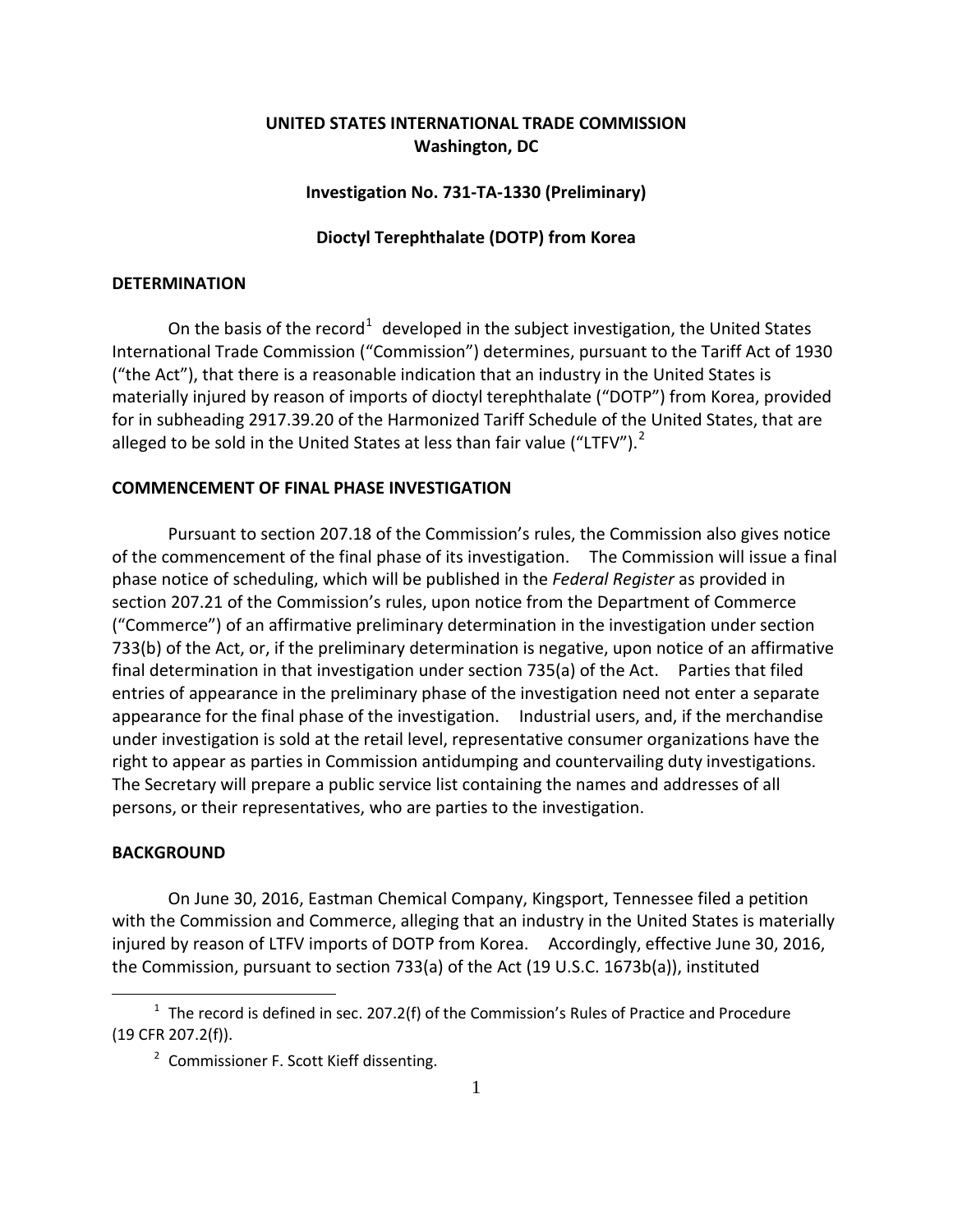# **UNITED STATES INTERNATIONAL TRADE COMMISSION Washington, DC**

## **Investigation No. 731-TA-1330 (Preliminary)**

## **Dioctyl Terephthalate (DOTP) from Korea**

## **DETERMINATION**

On the basis of the record<sup>[1](#page-0-0)</sup> developed in the subject investigation, the United States International Trade Commission ("Commission") determines, pursuant to the Tariff Act of 1930 ("the Act"), that there is a reasonable indication that an industry in the United States is materially injured by reason of imports of dioctyl terephthalate ("DOTP") from Korea, provided for in subheading 2917.39.20 of the Harmonized Tariff Schedule of the United States, that are alleged to be sold in the United States at less than fair value ("LTFV"). $^2$  $^2$ 

# **COMMENCEMENT OF FINAL PHASE INVESTIGATION**

Pursuant to section 207.18 of the Commission's rules, the Commission also gives notice of the commencement of the final phase of its investigation. The Commission will issue a final phase notice of scheduling, which will be published in the *Federal Register* as provided in section 207.21 of the Commission's rules, upon notice from the Department of Commerce ("Commerce") of an affirmative preliminary determination in the investigation under section 733(b) of the Act, or, if the preliminary determination is negative, upon notice of an affirmative final determination in that investigation under section 735(a) of the Act. Parties that filed entries of appearance in the preliminary phase of the investigation need not enter a separate appearance for the final phase of the investigation. Industrial users, and, if the merchandise under investigation is sold at the retail level, representative consumer organizations have the right to appear as parties in Commission antidumping and countervailing duty investigations. The Secretary will prepare a public service list containing the names and addresses of all persons, or their representatives, who are parties to the investigation.

## **BACKGROUND**

 $\overline{a}$ 

On June 30, 2016, Eastman Chemical Company, Kingsport, Tennessee filed a petition with the Commission and Commerce, alleging that an industry in the United States is materially injured by reason of LTFV imports of DOTP from Korea. Accordingly, effective June 30, 2016, the Commission, pursuant to section 733(a) of the Act (19 U.S.C. 1673b(a)), instituted

<span id="page-0-1"></span><span id="page-0-0"></span> $1$  The record is defined in sec. 207.2(f) of the Commission's Rules of Practice and Procedure (19 CFR 207.2(f)).

<sup>&</sup>lt;sup>2</sup> Commissioner F. Scott Kieff dissenting.